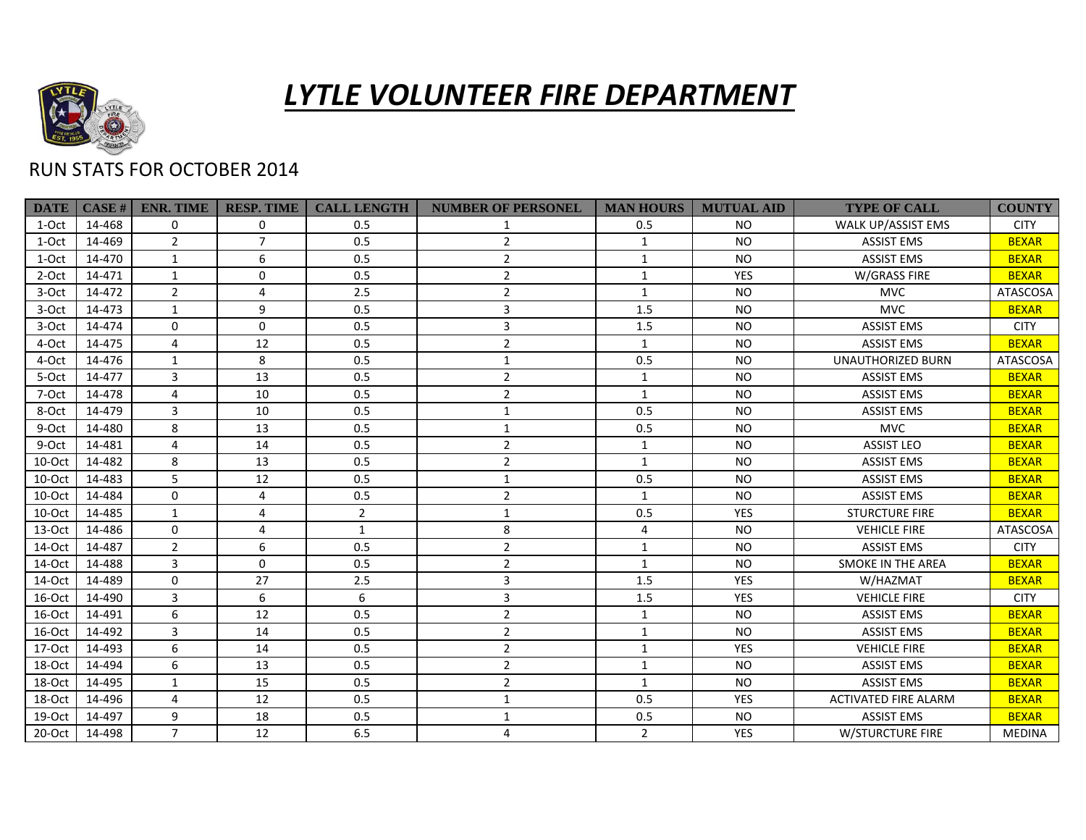

## *LYTLE VOLUNTEER FIRE DEPARTMENT*

## RUN STATS FOR OCTOBER 2014

| <b>DATE</b> | CASE H | <b>ENR. TIME</b> | <b>RESP. TIME</b> | <b>CALL LENGTH</b> | <b>NUMBER OF PERSONEL</b> | <b>MAN HOURS</b> | <b>MUTUAL AID</b> | <b>TYPE OF CALL</b>         | <b>COUNTY</b>   |
|-------------|--------|------------------|-------------------|--------------------|---------------------------|------------------|-------------------|-----------------------------|-----------------|
| 1-Oct       | 14-468 | $\Omega$         | 0                 | 0.5                |                           | 0.5              | <b>NO</b>         | WALK UP/ASSIST EMS          | <b>CITY</b>     |
| 1-Oct       | 14-469 | $\overline{2}$   | $\overline{7}$    | 0.5                | $\overline{2}$            | $\mathbf{1}$     | <b>NO</b>         | <b>ASSIST EMS</b>           | <b>BEXAR</b>    |
| 1-Oct       | 14-470 | $\mathbf{1}$     | 6                 | 0.5                | $\overline{2}$            | $\mathbf{1}$     | <b>NO</b>         | <b>ASSIST EMS</b>           | <b>BEXAR</b>    |
| 2-Oct       | 14-471 | $\mathbf{1}$     | 0                 | 0.5                | $\overline{2}$            | $\mathbf{1}$     | <b>YES</b>        | W/GRASS FIRE                | <b>BEXAR</b>    |
| 3-Oct       | 14-472 | $\overline{2}$   | 4                 | 2.5                | $\overline{2}$            | $\mathbf{1}$     | <b>NO</b>         | <b>MVC</b>                  | <b>ATASCOSA</b> |
| 3-Oct       | 14-473 | $\mathbf{1}$     | 9                 | 0.5                | 3                         | 1.5              | <b>NO</b>         | <b>MVC</b>                  | <b>BEXAR</b>    |
| 3-Oct       | 14-474 | $\mathbf 0$      | $\mathbf 0$       | 0.5                | 3                         | 1.5              | <b>NO</b>         | <b>ASSIST EMS</b>           | <b>CITY</b>     |
| 4-Oct       | 14-475 | 4                | 12                | 0.5                | $\overline{2}$            | $\mathbf{1}$     | <b>NO</b>         | <b>ASSIST EMS</b>           | <b>BEXAR</b>    |
| 4-Oct       | 14-476 | $\mathbf{1}$     | 8                 | 0.5                | 1                         | 0.5              | <b>NO</b>         | <b>UNAUTHORIZED BURN</b>    | <b>ATASCOSA</b> |
| 5-Oct       | 14-477 | 3                | 13                | 0.5                | $\overline{2}$            | $\mathbf{1}$     | <b>NO</b>         | <b>ASSIST EMS</b>           | <b>BEXAR</b>    |
| 7-Oct       | 14-478 | 4                | 10                | 0.5                | $\overline{2}$            | $\mathbf{1}$     | <b>NO</b>         | <b>ASSIST EMS</b>           | <b>BEXAR</b>    |
| 8-Oct       | 14-479 | 3                | 10                | 0.5                | 1                         | 0.5              | <b>NO</b>         | <b>ASSIST EMS</b>           | <b>BEXAR</b>    |
| 9-Oct       | 14-480 | 8                | 13                | 0.5                |                           | 0.5              | <b>NO</b>         | <b>MVC</b>                  | <b>BEXAR</b>    |
| 9-Oct       | 14-481 | 4                | 14                | 0.5                | $\overline{2}$            | $\mathbf{1}$     | <b>NO</b>         | <b>ASSIST LEO</b>           | <b>BEXAR</b>    |
| 10-Oct      | 14-482 | 8                | 13                | 0.5                | $\overline{2}$            | 1                | <b>NO</b>         | <b>ASSIST EMS</b>           | <b>BEXAR</b>    |
| 10-Oct      | 14-483 | 5                | 12                | 0.5                | $\mathbf{1}$              | 0.5              | <b>NO</b>         | <b>ASSIST EMS</b>           | <b>BEXAR</b>    |
| 10-Oct      | 14-484 | $\Omega$         | 4                 | 0.5                | $\overline{2}$            | $\mathbf{1}$     | <b>NO</b>         | <b>ASSIST EMS</b>           | <b>BEXAR</b>    |
| 10-Oct      | 14-485 | $\mathbf{1}$     | $\overline{4}$    | $\overline{2}$     | 1                         | 0.5              | <b>YES</b>        | <b>STURCTURE FIRE</b>       | <b>BEXAR</b>    |
| $13-Oct$    | 14-486 | $\Omega$         | 4                 | $\mathbf{1}$       | 8                         | 4                | <b>NO</b>         | <b>VEHICLE FIRE</b>         | ATASCOSA        |
| 14-Oct      | 14-487 | $\overline{2}$   | 6                 | 0.5                | $\overline{2}$            | 1                | <b>NO</b>         | <b>ASSIST EMS</b>           | <b>CITY</b>     |
| 14-Oct      | 14-488 | 3                | $\mathbf 0$       | 0.5                | $\overline{2}$            | 1                | <b>NO</b>         | <b>SMOKE IN THE AREA</b>    | <b>BEXAR</b>    |
| 14-Oct      | 14-489 | $\Omega$         | 27                | 2.5                | 3                         | 1.5              | <b>YES</b>        | W/HAZMAT                    | <b>BEXAR</b>    |
| 16-Oct      | 14-490 | 3                | 6                 | 6                  | 3                         | 1.5              | YES               | <b>VEHICLE FIRE</b>         | <b>CITY</b>     |
| 16-Oct      | 14-491 | 6                | 12                | 0.5                | $\overline{2}$            | 1                | <b>NO</b>         | <b>ASSIST EMS</b>           | <b>BEXAR</b>    |
| 16-Oct      | 14-492 | 3                | 14                | 0.5                | $\overline{2}$            | 1                | <b>NO</b>         | <b>ASSIST EMS</b>           | <b>BEXAR</b>    |
| 17-Oct      | 14-493 | 6                | 14                | 0.5                | $\overline{2}$            | 1                | YES               | <b>VEHICLE FIRE</b>         | <b>BEXAR</b>    |
| 18-Oct      | 14-494 | 6                | 13                | 0.5                | $\overline{2}$            | $\mathbf{1}$     | <b>NO</b>         | <b>ASSIST EMS</b>           | <b>BEXAR</b>    |
| 18-Oct      | 14-495 | $\mathbf{1}$     | 15                | 0.5                | $\overline{2}$            | $\mathbf{1}$     | <b>NO</b>         | <b>ASSIST EMS</b>           | <b>BEXAR</b>    |
| 18-Oct      | 14-496 | 4                | 12                | 0.5                | 1                         | 0.5              | YES               | <b>ACTIVATED FIRE ALARM</b> | <b>BEXAR</b>    |
| 19-Oct      | 14-497 | 9                | 18                | 0.5                | 1                         | 0.5              | <b>NO</b>         | <b>ASSIST EMS</b>           | <b>BEXAR</b>    |
| 20-Oct      | 14-498 | $\overline{7}$   | 12                | 6.5                | 4                         | $2^{\circ}$      | <b>YES</b>        | W/STURCTURE FIRE            | <b>MEDINA</b>   |